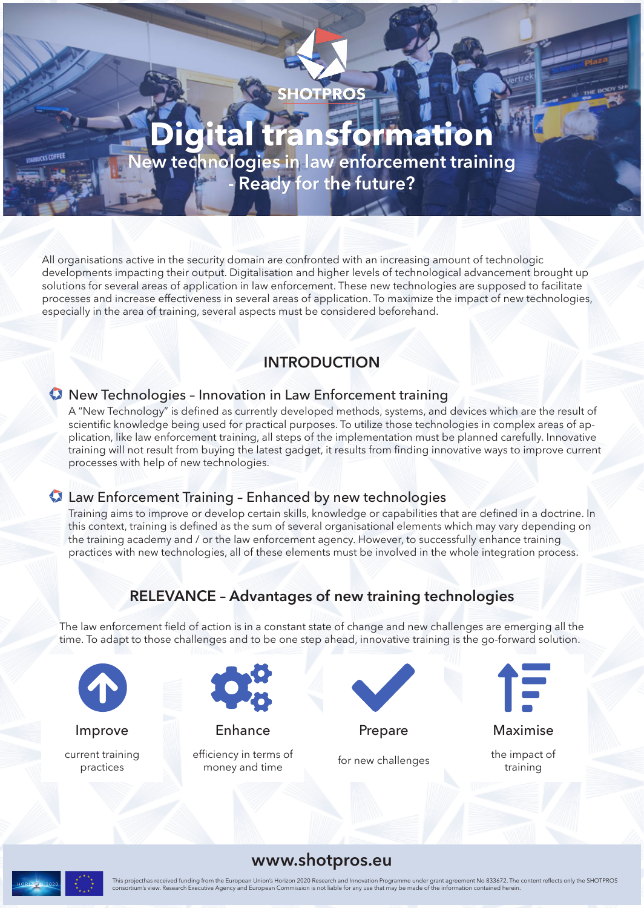

# **Digital transformation**

**New technologies in law enforcement training - Ready for the future?**

All organisations active in the security domain are confronted with an increasing amount of technologic developments impacting their output. Digitalisation and higher levels of technological advancement brought up solutions for several areas of application in law enforcement. These new technologies are supposed to facilitate processes and increase effectiveness in several areas of application. To maximize the impact of new technologies, especially in the area of training, several aspects must be considered beforehand.

## **INTRODUCTION**

#### New Technologies – Innovation in Law Enforcement training

A "New Technology" is defined as currently developed methods, systems, and devices which are the result of scientific knowledge being used for practical purposes. To utilize those technologies in complex areas of application, like law enforcement training, all steps of the implementation must be planned carefully. Innovative training will not result from buying the latest gadget, it results from finding innovative ways to improve current processes with help of new technologies.

#### Law Enforcement Training – Enhanced by new technologies

Training aims to improve or develop certain skills, knowledge or capabilities that are defined in a doctrine. In this context, training is defined as the sum of several organisational elements which may vary depending on the training academy and / or the law enforcement agency. However, to successfully enhance training practices with new technologies, all of these elements must be involved in the whole integration process.

# **RELEVANCE – Advantages of new training technologies**

The law enforcement field of action is in a constant state of change and new challenges are emerging all the time. To adapt to those challenges and to be one step ahead, innovative training is the go-forward solution.



current training

practices



Improve Enhance Prepare Maximise

efficiency in terms of Ficiency in terms of the impact of the impact of the impact of the impact of the impact of training





training

#### **www.shotpros.eu**



**UCKS COFFEE** 

This projecthas received funding from the European Union's Horizon 2020 Research and Innovation Programme under grant agreement No 833672. The content reflects only the SHOTPROS<br>consortium's view. Research Executive Agency